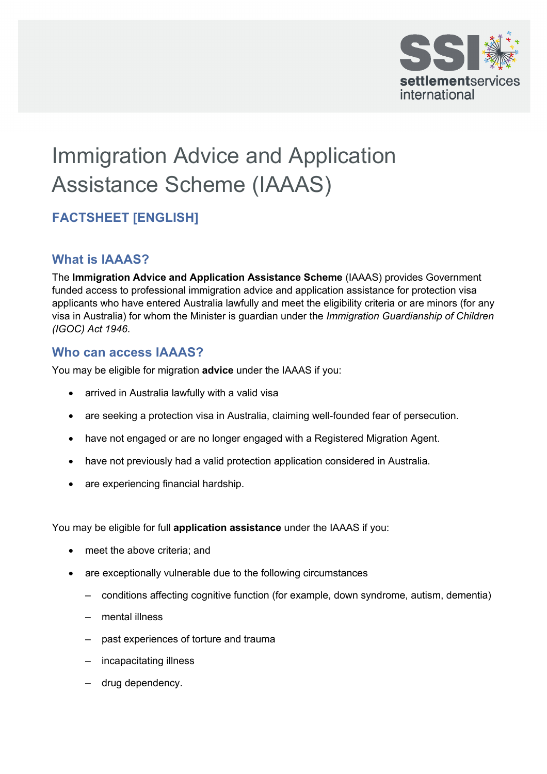

# Immigration Advice and Application Assistance Scheme (IAAAS)

## **FACTSHEET [ENGLISH]**

#### **What is IAAAS?**

 visa in Australia) for whom the Minister is guardian under the *Immigration Guardianship of Children*  The **Immigration Advice and Application Assistance Scheme** (IAAAS) provides Government funded access to professional immigration advice and application assistance for protection visa applicants who have entered Australia lawfully and meet the eligibility criteria or are minors (for any *(IGOC) Act 1946*.

#### **Who can access IAAAS?**

You may be eligible for migration **advice** under the IAAAS if you:

- arrived in Australia lawfully with a valid visa
- are seeking a protection visa in Australia, claiming well-founded fear of persecution.
- have not engaged or are no longer engaged with a Registered Migration Agent.
- have not previously had a valid protection application considered in Australia.
- are experiencing financial hardship.

You may be eligible for full **application assistance** under the IAAAS if you:

- meet the above criteria; and
- are exceptionally vulnerable due to the following circumstances
	- conditions affecting cognitive function (for example, down syndrome, autism, dementia)
	- mental illness
	- past experiences of torture and trauma
	- incapacitating illness
	- drug dependency.